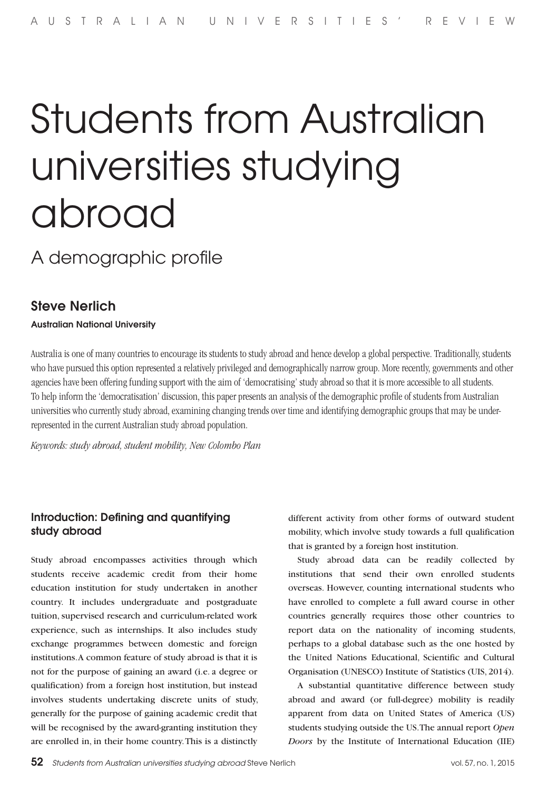# Students from Australian universities studying abroad

# A demographic profile

## Steve Nerlich

Australian National University

Australia is one of many countries to encourage its students to study abroad and hence develop a global perspective. Traditionally, students who have pursued this option represented a relatively privileged and demographically narrow group. More recently, governments and other agencies have been offering funding support with the aim of 'democratising' study abroad so that it is more accessible to all students. To help inform the 'democratisation' discussion, this paper presents an analysis of the demographic profile of students from Australian universities who currently study abroad, examining changing trends over time and identifying demographic groups that may be underrepresented in the current Australian study abroad population.

*Keywords: study abroad, student mobility, New Colombo Plan*

### Introduction: Defining and quantifying study abroad

Study abroad encompasses activities through which students receive academic credit from their home education institution for study undertaken in another country. It includes undergraduate and postgraduate tuition, supervised research and curriculum-related work experience, such as internships. It also includes study exchange programmes between domestic and foreign institutions. A common feature of study abroad is that it is not for the purpose of gaining an award (i.e. a degree or qualification) from a foreign host institution, but instead involves students undertaking discrete units of study, generally for the purpose of gaining academic credit that will be recognised by the award-granting institution they are enrolled in, in their home country. This is a distinctly

different activity from other forms of outward student mobility, which involve study towards a full qualification that is granted by a foreign host institution.

Study abroad data can be readily collected by institutions that send their own enrolled students overseas. However, counting international students who have enrolled to complete a full award course in other countries generally requires those other countries to report data on the nationality of incoming students, perhaps to a global database such as the one hosted by the United Nations Educational, Scientific and Cultural Organisation (UNESCO) Institute of Statistics (UIS, 2014).

A substantial quantitative difference between study abroad and award (or full-degree) mobility is readily apparent from data on United States of America (US) students studying outside the US. The annual report *Open Doors* by the Institute of International Education (IIE)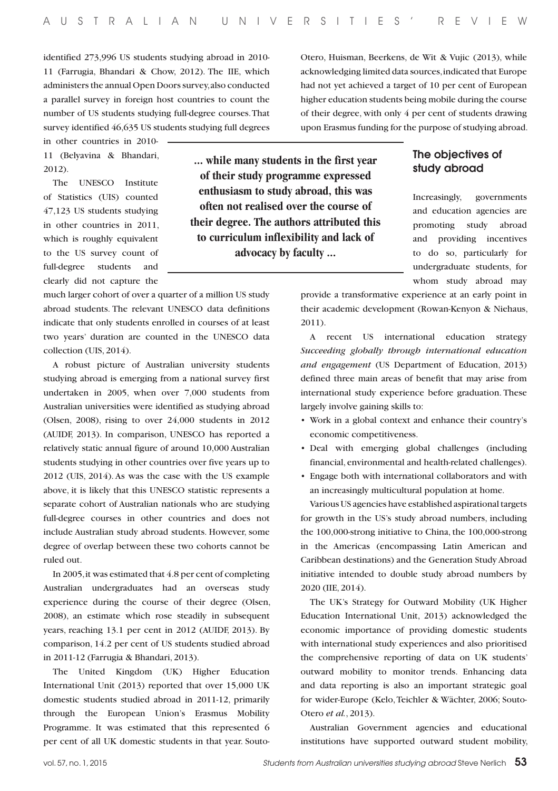identified 273,996 US students studying abroad in 2010- 11 (Farrugia, Bhandari & Chow, 2012). The IIE, which administers the annual Open Doors survey, also conducted a parallel survey in foreign host countries to count the number of US students studying full-degree courses. That survey identified 46,635 US students studying full degrees

in other countries in 2010- 11 (Belyavina & Bhandari, 2012).

The UNESCO Institute of Statistics (UIS) counted 47,123 US students studying in other countries in 2011, which is roughly equivalent to the US survey count of full-degree students and clearly did not capture the

much larger cohort of over a quarter of a million US study abroad students. The relevant UNESCO data definitions indicate that only students enrolled in courses of at least two years' duration are counted in the UNESCO data collection (UIS, 2014).

A robust picture of Australian university students studying abroad is emerging from a national survey first undertaken in 2005, when over 7,000 students from Australian universities were identified as studying abroad (Olsen, 2008), rising to over 24,000 students in 2012 (AUIDF, 2013). In comparison, UNESCO has reported a relatively static annual figure of around 10,000 Australian students studying in other countries over five years up to 2012 (UIS, 2014). As was the case with the US example above, it is likely that this UNESCO statistic represents a separate cohort of Australian nationals who are studying full-degree courses in other countries and does not include Australian study abroad students. However, some degree of overlap between these two cohorts cannot be ruled out.

In 2005, it was estimated that 4.8 per cent of completing Australian undergraduates had an overseas study experience during the course of their degree (Olsen, 2008), an estimate which rose steadily in subsequent years, reaching 13.1 per cent in 2012 (AUIDF, 2013). By comparison, 14.2 per cent of US students studied abroad in 2011-12 (Farrugia & Bhandari, 2013).

The United Kingdom (UK) Higher Education International Unit (2013) reported that over 15,000 UK domestic students studied abroad in 2011-12, primarily through the European Union's Erasmus Mobility Programme. It was estimated that this represented 6 per cent of all UK domestic students in that year. Souto-

**... while many students in the first year of their study programme expressed enthusiasm to study abroad, this was often not realised over the course of their degree. The authors attributed this to curriculum inflexibility and lack of advocacy by faculty ...**

Otero, Huisman, Beerkens, de Wit & Vujic (2013), while acknowledging limited data sources, indicated that Europe had not yet achieved a target of 10 per cent of European higher education students being mobile during the course of their degree, with only 4 per cent of students drawing upon Erasmus funding for the purpose of studying abroad.

#### The objectives of study abroad

Increasingly, governments and education agencies are promoting study abroad and providing incentives to do so, particularly for undergraduate students, for whom study abroad may

provide a transformative experience at an early point in their academic development (Rowan-Kenyon & Niehaus, 2011).

A recent US international education strategy *Succeeding globally through international education and engagement* (US Department of Education, 2013) defined three main areas of benefit that may arise from international study experience before graduation. These largely involve gaining skills to:

- • Work in a global context and enhance their country's economic competitiveness.
- • Deal with emerging global challenges (including financial, environmental and health-related challenges).
- • Engage both with international collaborators and with an increasingly multicultural population at home.

Various US agencies have established aspirational targets for growth in the US's study abroad numbers, including the 100,000-strong initiative to China, the 100,000-strong in the Americas (encompassing Latin American and Caribbean destinations) and the Generation Study Abroad initiative intended to double study abroad numbers by 2020 (IIE, 2014).

The UK's Strategy for Outward Mobility (UK Higher Education International Unit, 2013) acknowledged the economic importance of providing domestic students with international study experiences and also prioritised the comprehensive reporting of data on UK students' outward mobility to monitor trends. Enhancing data and data reporting is also an important strategic goal for wider-Europe (Kelo, Teichler & Wächter, 2006; Souto-Otero *et al.*, 2013).

Australian Government agencies and educational institutions have supported outward student mobility,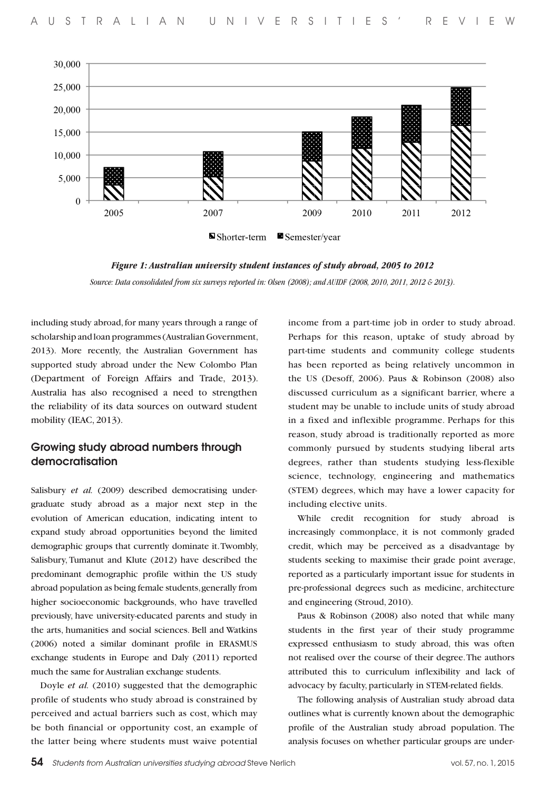

*Figure 1: Australian university student instances of study abroad, 2005 to 2012* 

*Source: Data consolidated from six surveys reported in: Olsen (2008); and AUIDF (2008, 2010, 2011, 2012 & 2013).*

including study abroad, for many years through a range of scholarship and loan programmes (Australian Government, 2013). More recently, the Australian Government has supported study abroad under the New Colombo Plan (Department of Foreign Affairs and Trade, 2013). Australia has also recognised a need to strengthen the reliability of its data sources on outward student mobility (IEAC, 2013).

#### Growing study abroad numbers through democratisation

Salisbury *et al.* (2009) described democratising undergraduate study abroad as a major next step in the evolution of American education, indicating intent to expand study abroad opportunities beyond the limited demographic groups that currently dominate it. Twombly, Salisbury, Tumanut and Klute (2012) have described the predominant demographic profile within the US study abroad population as being female students, generally from higher socioeconomic backgrounds, who have travelled previously, have university-educated parents and study in the arts, humanities and social sciences. Bell and Watkins (2006) noted a similar dominant profile in ERASMUS exchange students in Europe and Daly (2011) reported much the same for Australian exchange students.

Doyle *et al.* (2010) suggested that the demographic profile of students who study abroad is constrained by perceived and actual barriers such as cost, which may be both financial or opportunity cost, an example of the latter being where students must waive potential

income from a part-time job in order to study abroad. Perhaps for this reason, uptake of study abroad by part-time students and community college students has been reported as being relatively uncommon in the US (Desoff, 2006). Paus & Robinson (2008) also discussed curriculum as a significant barrier, where a student may be unable to include units of study abroad in a fixed and inflexible programme. Perhaps for this reason, study abroad is traditionally reported as more commonly pursued by students studying liberal arts degrees, rather than students studying less-flexible science, technology, engineering and mathematics (STEM) degrees, which may have a lower capacity for including elective units.

While credit recognition for study abroad is increasingly commonplace, it is not commonly graded credit, which may be perceived as a disadvantage by students seeking to maximise their grade point average, reported as a particularly important issue for students in pre-professional degrees such as medicine, architecture and engineering (Stroud, 2010).

Paus & Robinson (2008) also noted that while many students in the first year of their study programme expressed enthusiasm to study abroad, this was often not realised over the course of their degree. The authors attributed this to curriculum inflexibility and lack of advocacy by faculty, particularly in STEM-related fields.

The following analysis of Australian study abroad data outlines what is currently known about the demographic profile of the Australian study abroad population. The analysis focuses on whether particular groups are under-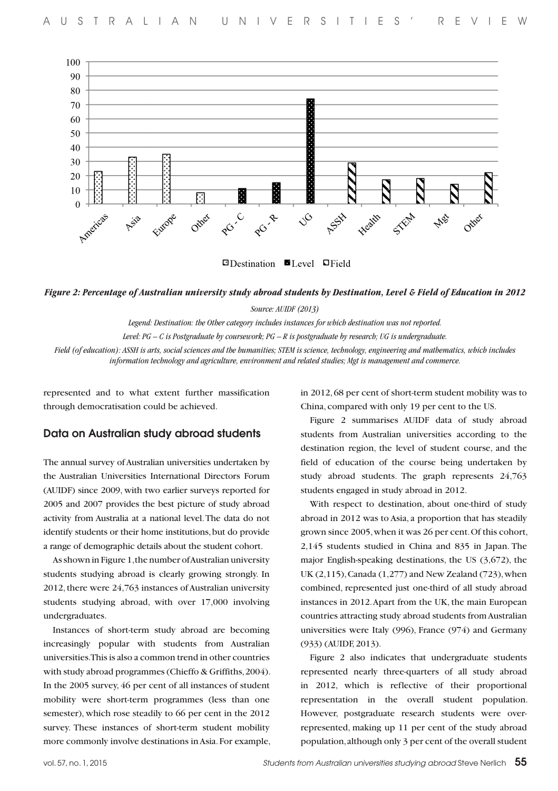

 $\Box$ Destination  $\Box$ Level  $\Box$ Field

*Figure 2: Percentage of Australian university study abroad students by Destination, Level & Field of Education in 2012* 

*Source: AUIDF (2013)* 

*Legend: Destination: the Other category includes instances for which destination was not reported.* 

*Level: PG – C is Postgraduate by coursework; PG – R is postgraduate by research; UG is undergraduate.* 

*Field (of education): ASSH is arts, social sciences and the humanities; STEM is science, technology, engineering and mathematics, which includes information technology and agriculture, environment and related studies; Mgt is management and commerce.*

represented and to what extent further massification through democratisation could be achieved.

#### Data on Australian study abroad students

The annual survey of Australian universities undertaken by the Australian Universities International Directors Forum (AUIDF) since 2009, with two earlier surveys reported for 2005 and 2007 provides the best picture of study abroad activity from Australia at a national level. The data do not identify students or their home institutions, but do provide a range of demographic details about the student cohort.

As shown in Figure 1, the number of Australian university students studying abroad is clearly growing strongly. In 2012, there were 24,763 instances of Australian university students studying abroad, with over 17,000 involving undergraduates.

Instances of short-term study abroad are becoming increasingly popular with students from Australian universities. This is also a common trend in other countries with study abroad programmes (Chieffo & Griffiths, 2004). In the 2005 survey, 46 per cent of all instances of student mobility were short-term programmes (less than one semester), which rose steadily to 66 per cent in the 2012 survey. These instances of short-term student mobility more commonly involve destinations in Asia. For example, in 2012, 68 per cent of short-term student mobility was to China, compared with only 19 per cent to the US.

Figure 2 summarises AUIDF data of study abroad students from Australian universities according to the destination region, the level of student course, and the field of education of the course being undertaken by study abroad students. The graph represents 24,763 students engaged in study abroad in 2012.

With respect to destination, about one-third of study abroad in 2012 was to Asia, a proportion that has steadily grown since 2005, when it was 26 per cent. Of this cohort, 2,145 students studied in China and 835 in Japan. The major English-speaking destinations, the US (3,672), the UK (2,115), Canada (1,277) and New Zealand (723), when combined, represented just one-third of all study abroad instances in 2012. Apart from the UK, the main European countries attracting study abroad students from Australian universities were Italy (996), France (974) and Germany (933) (AUIDF, 2013).

Figure 2 also indicates that undergraduate students represented nearly three-quarters of all study abroad in 2012, which is reflective of their proportional representation in the overall student population. However, postgraduate research students were overrepresented, making up 11 per cent of the study abroad population, although only 3 per cent of the overall student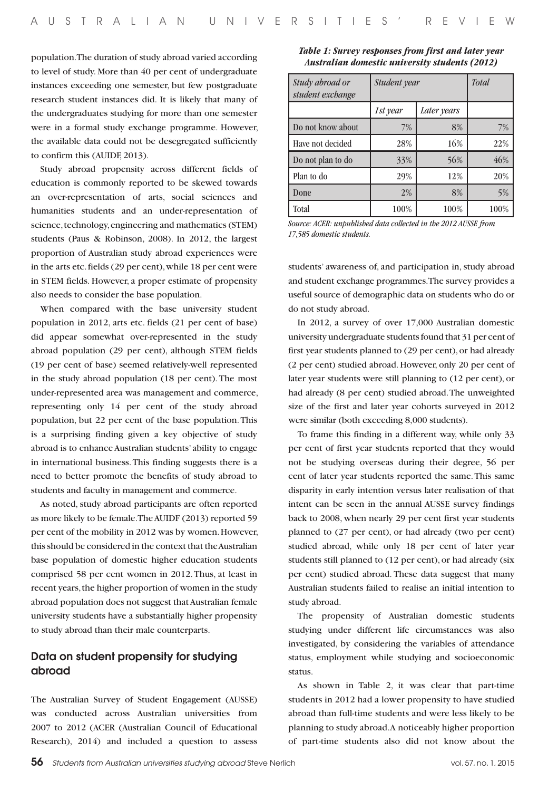population. The duration of study abroad varied according to level of study. More than 40 per cent of undergraduate instances exceeding one semester, but few postgraduate research student instances did. It is likely that many of the undergraduates studying for more than one semester were in a formal study exchange programme. However, the available data could not be desegregated sufficiently to confirm this (AUIDF, 2013).

Study abroad propensity across different fields of education is commonly reported to be skewed towards an over-representation of arts, social sciences and humanities students and an under-representation of science, technology, engineering and mathematics (STEM) students (Paus & Robinson, 2008). In 2012, the largest proportion of Australian study abroad experiences were in the arts etc. fields (29 per cent), while 18 per cent were in STEM fields. However, a proper estimate of propensity also needs to consider the base population.

When compared with the base university student population in 2012, arts etc. fields (21 per cent of base) did appear somewhat over-represented in the study abroad population (29 per cent), although STEM fields (19 per cent of base) seemed relatively-well represented in the study abroad population (18 per cent). The most under-represented area was management and commerce, representing only 14 per cent of the study abroad population, but 22 per cent of the base population. This is a surprising finding given a key objective of study abroad is to enhance Australian students' ability to engage in international business. This finding suggests there is a need to better promote the benefits of study abroad to students and faculty in management and commerce.

As noted, study abroad participants are often reported as more likely to be female. The AUIDF (2013) reported 59 per cent of the mobility in 2012 was by women. However, this should be considered in the context that the Australian base population of domestic higher education students comprised 58 per cent women in 2012. Thus, at least in recent years, the higher proportion of women in the study abroad population does not suggest that Australian female university students have a substantially higher propensity to study abroad than their male counterparts.

#### Data on student propensity for studying abroad

The Australian Survey of Student Engagement (AUSSE) was conducted across Australian universities from 2007 to 2012 (ACER (Australian Council of Educational Research), 2014) and included a question to assess

| Table 1: Survey responses from first and later year   |  |
|-------------------------------------------------------|--|
| <b>Australian domestic university students (2012)</b> |  |

| Study abroad or<br>student exchange | Student year            | <b>Total</b> |      |
|-------------------------------------|-------------------------|--------------|------|
|                                     | Later years<br>1st year |              |      |
| Do not know about                   | 7%                      | 8%           | 7%   |
| Have not decided                    | 28%                     | 16%          | 22%  |
| Do not plan to do                   | 33%                     | 56%          | 46%  |
| Plan to do                          | 29%                     | 12%          | 20%  |
| Done                                | 2%                      | 8%           | 5%   |
| Total                               | 100%                    | 100%         | 100% |

*Source: ACER: unpublished data collected in the 2012 AUSSE from 17,585 domestic students.*

students' awareness of, and participation in, study abroad and student exchange programmes. The survey provides a useful source of demographic data on students who do or do not study abroad.

In 2012, a survey of over 17,000 Australian domestic university undergraduate students found that 31 per cent of first year students planned to (29 per cent), or had already (2 per cent) studied abroad. However, only 20 per cent of later year students were still planning to (12 per cent), or had already (8 per cent) studied abroad. The unweighted size of the first and later year cohorts surveyed in 2012 were similar (both exceeding 8,000 students).

To frame this finding in a different way, while only 33 per cent of first year students reported that they would not be studying overseas during their degree, 56 per cent of later year students reported the same. This same disparity in early intention versus later realisation of that intent can be seen in the annual AUSSE survey findings back to 2008, when nearly 29 per cent first year students planned to (27 per cent), or had already (two per cent) studied abroad, while only 18 per cent of later year students still planned to (12 per cent), or had already (six per cent) studied abroad. These data suggest that many Australian students failed to realise an initial intention to study abroad.

The propensity of Australian domestic students studying under different life circumstances was also investigated, by considering the variables of attendance status, employment while studying and socioeconomic status.

As shown in Table 2, it was clear that part-time students in 2012 had a lower propensity to have studied abroad than full-time students and were less likely to be planning to study abroad. A noticeably higher proportion of part-time students also did not know about the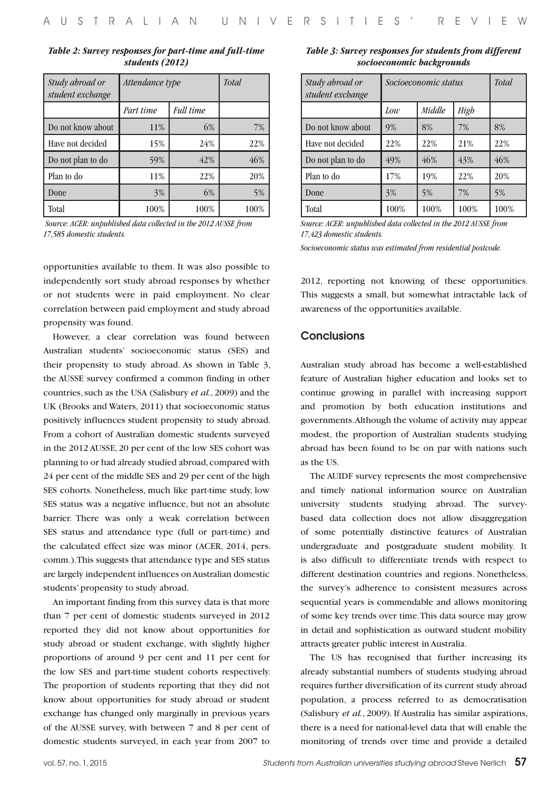| Table 2: Survey responses for part-time and full-time |  |  |  |  |
|-------------------------------------------------------|--|--|--|--|
| students (2012)                                       |  |  |  |  |

| Study abroad or<br>student exchange | Attendance type | Total            |      |
|-------------------------------------|-----------------|------------------|------|
|                                     | Part time       | <b>Full time</b> |      |
| Do not know about                   | 11%             | 6%               | 7%   |
| Have not decided                    | 15%             | 24%              | 22%  |
| Do not plan to do                   | 59%             | 42%              | 46%  |
| Plan to do                          | 11%             | 22%              | 20%  |
| Done                                | 3%              | 6%               | 5%   |
| Total                               | 100%            | 100%             | 100% |

 *Source: ACER: unpublished data collected in the 2012 AUSSE from 17,585 domestic students.*

opportunities available to them. It was also possible to independently sort study abroad responses by whether or not students were in paid employment. No clear correlation between paid employment and study abroad propensity was found.

However, a clear correlation was found between Australian students' socioeconomic status (SES) and their propensity to study abroad. As shown in Table 3, the AUSSE survey confirmed a common finding in other countries, such as the USA (Salisbury *et al.*, 2009) and the UK (Brooks and Waters, 2011) that socioeconomic status positively influences student propensity to study abroad. From a cohort of Australian domestic students surveyed in the 2012 AUSSE, 20 per cent of the low SES cohort was planning to or had already studied abroad, compared with 24 per cent of the middle SES and 29 per cent of the high SES cohorts. Nonetheless, much like part-time study, low SES status was a negative influence, but not an absolute barrier. There was only a weak correlation between SES status and attendance type (full or part-time) and the calculated effect size was minor (ACER, 2014, pers. comm.). This suggests that attendance type and SES status are largely independent influences on Australian domestic students' propensity to study abroad.

An important finding from this survey data is that more than 7 per cent of domestic students surveyed in 2012 reported they did not know about opportunities for study abroad or student exchange, with slightly higher proportions of around 9 per cent and 11 per cent for the low SES and part-time student cohorts respectively. The proportion of students reporting that they did not know about opportunities for study abroad or student exchange has changed only marginally in previous years of the AUSSE survey, with between 7 and 8 per cent of domestic students surveyed, in each year from 2007 to

*Table 3: Survey responses for students from different socioeconomic backgrounds*

| Study abroad or<br>student exchange | Socioeconomic status |        |      | <b>Total</b> |
|-------------------------------------|----------------------|--------|------|--------------|
|                                     | Low                  | Middle | High |              |
| Do not know about                   | 9%                   | 8%     | 7%   | 8%           |
| Have not decided                    | 22%                  | 22%    | 21%  | 22%          |
| Do not plan to do                   | 49%                  | 46%    | 43%  | 46%          |
| Plan to do                          | 17%                  | 19%    | 22%  | 20%          |
| Done                                | 3%                   | 5%     | 7%   | 5%           |
| Total                               | 100%                 | 100%   | 100% | 100%         |

*Source: ACER: unpublished data collected in the 2012 AUSSE from 17,423 domestic students.*

*Socioeconomic status was estimated from residential postcode.*

2012, reporting not knowing of these opportunities. This suggests a small, but somewhat intractable lack of awareness of the opportunities available.

#### **Conclusions**

Australian study abroad has become a well-established feature of Australian higher education and looks set to continue growing in parallel with increasing support and promotion by both education institutions and governments. Although the volume of activity may appear modest, the proportion of Australian students studying abroad has been found to be on par with nations such as the US.

The AUIDF survey represents the most comprehensive and timely national information source on Australian university students studying abroad. The surveybased data collection does not allow disaggregation of some potentially distinctive features of Australian undergraduate and postgraduate student mobility. It is also difficult to differentiate trends with respect to different destination countries and regions. Nonetheless, the survey's adherence to consistent measures across sequential years is commendable and allows monitoring of some key trends over time. This data source may grow in detail and sophistication as outward student mobility attracts greater public interest in Australia.

The US has recognised that further increasing its already substantial numbers of students studying abroad requires further diversification of its current study abroad population, a process referred to as democratisation (Salisbury *et al.*, 2009). If Australia has similar aspirations, there is a need for national-level data that will enable the monitoring of trends over time and provide a detailed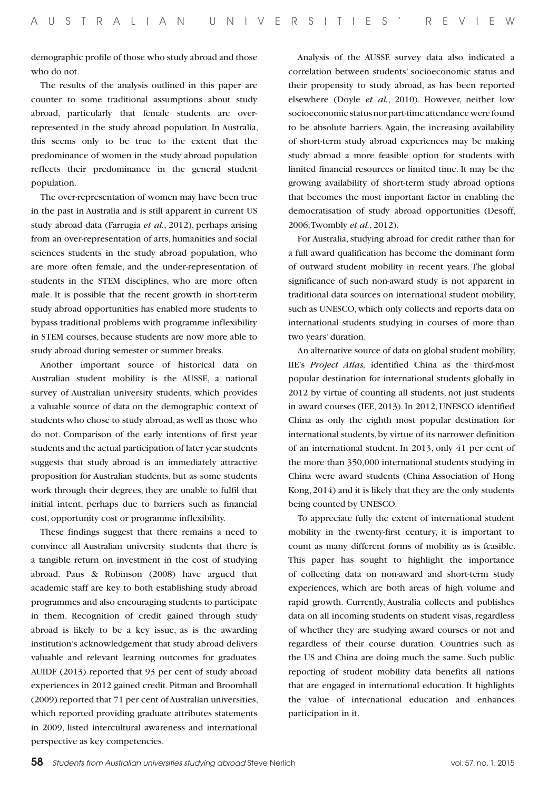demographic profile of those who study abroad and those who do not.

The results of the analysis outlined in this paper are counter to some traditional assumptions about study abroad, particularly that female students are overrepresented in the study abroad population. In Australia, this seems only to be true to the extent that the predominance of women in the study abroad population reflects their predominance in the general student population.

The over-representation of women may have been true in the past in Australia and is still apparent in current US study abroad data (Farrugia *et al.*, 2012), perhaps arising from an over-representation of arts, humanities and social sciences students in the study abroad population, who are more often female, and the under-representation of students in the STEM disciplines, who are more often male. It is possible that the recent growth in short-term study abroad opportunities has enabled more students to bypass traditional problems with programme inflexibility in STEM courses, because students are now more able to study abroad during semester or summer breaks.

Another important source of historical data on Australian student mobility is the AUSSE, a national survey of Australian university students, which provides a valuable source of data on the demographic context of students who chose to study abroad, as well as those who do not. Comparison of the early intentions of first year students and the actual participation of later year students suggests that study abroad is an immediately attractive proposition for Australian students, but as some students work through their degrees, they are unable to fulfil that initial intent, perhaps due to barriers such as financial cost, opportunity cost or programme inflexibility.

These findings suggest that there remains a need to convince all Australian university students that there is a tangible return on investment in the cost of studying abroad. Paus & Robinson (2008) have argued that academic staff are key to both establishing study abroad programmes and also encouraging students to participate in them. Recognition of credit gained through study abroad is likely to be a key issue, as is the awarding institution's acknowledgement that study abroad delivers valuable and relevant learning outcomes for graduates. AUIDF (2013) reported that 93 per cent of study abroad experiences in 2012 gained credit. Pitman and Broomhall (2009) reported that 71 per cent of Australian universities, which reported providing graduate attributes statements in 2009, listed intercultural awareness and international perspective as key competencies.

Analysis of the AUSSE survey data also indicated a correlation between students' socioeconomic status and their propensity to study abroad, as has been reported elsewhere (Doyle *et al.*, 2010). However, neither low socioeconomic status nor part-time attendance were found to be absolute barriers. Again, the increasing availability of short-term study abroad experiences may be making study abroad a more feasible option for students with limited financial resources or limited time. It may be the growing availability of short-term study abroad options that becomes the most important factor in enabling the democratisation of study abroad opportunities (Desoff, 2006; Twombly *et al.*, 2012).

For Australia, studying abroad for credit rather than for a full award qualification has become the dominant form of outward student mobility in recent years. The global significance of such non-award study is not apparent in traditional data sources on international student mobility, such as UNESCO, which only collects and reports data on international students studying in courses of more than two years' duration.

An alternative source of data on global student mobility, IIE's *Project Atlas,* identified China as the third-most popular destination for international students globally in 2012 by virtue of counting all students, not just students in award courses (IEE, 2013). In 2012, UNESCO identified China as only the eighth most popular destination for international students, by virtue of its narrower definition of an international student. In 2013, only 41 per cent of the more than 350,000 international students studying in China were award students (China Association of Hong Kong, 2014) and it is likely that they are the only students being counted by UNESCO.

To appreciate fully the extent of international student mobility in the twenty-first century, it is important to count as many different forms of mobility as is feasible. This paper has sought to highlight the importance of collecting data on non-award and short-term study experiences, which are both areas of high volume and rapid growth. Currently, Australia collects and publishes data on all incoming students on student visas, regardless of whether they are studying award courses or not and regardless of their course duration. Countries such as the US and China are doing much the same. Such public reporting of student mobility data benefits all nations that are engaged in international education. It highlights the value of international education and enhances participation in it.